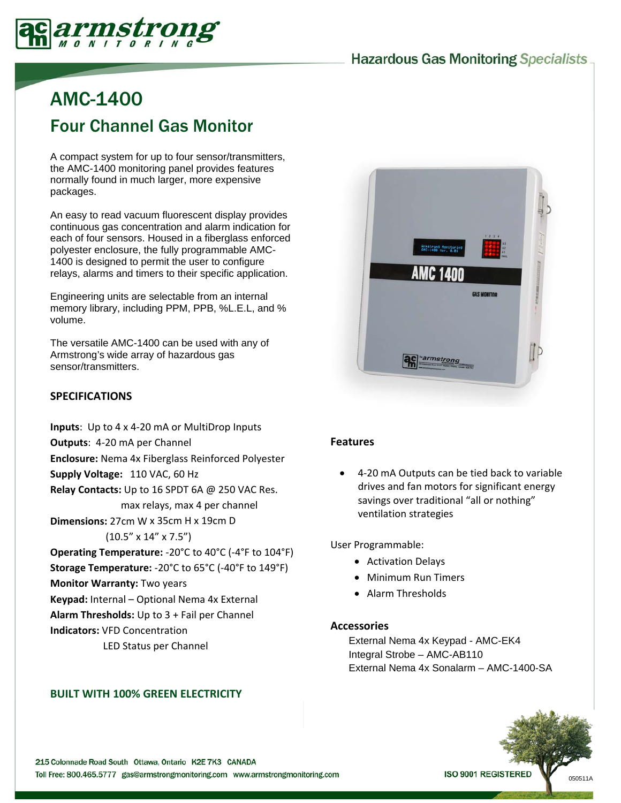

# **Hazardous Gas Monitoring Specialists**

# AMC-1400 Four Channel Gas Monitor

A compact system for up to four sensor/transmitters, the AMC-1400 monitoring panel provides features normally found in much larger, more expensive packages.

An easy to read vacuum fluorescent display provides continuous gas concentration and alarm indication for each of four sensors. Housed in a fiberglass enforced polyester enclosure, the fully programmable AMC-1400 is designed to permit the user to configure relays, alarms and timers to their specific application.

Engineering units are selectable from an internal memory library, including PPM, PPB, %L.E.L, and % volume.

The versatile AMC-1400 can be used with any of Armstrong's wide array of hazardous gas sensor/transmitters.

### **SPECIFICATIONS**

**Inputs**: Up to 4 x 4‐20 mA or MultiDrop Inputs **Outputs**: 4‐20 mA per Channel **Enclosure:** Nema 4x Fiberglass Reinforced Polyester **Supply Voltage:** 110 VAC, 60 Hz **Relay Contacts:** Up to 16 SPDT 6A @ 250 VAC Res. max relays, max 4 per channel **Dimensions:** 27cm W x 35cm H x 19cm D (10.5" x 14" x 7.5") **Operating Temperature:** ‐20°C to 40°C (‐4°F to 104°F) **Storage Temperature:** ‐20°C to 65°C (‐40°F to 149°F) **Monitor Warranty:** Two years **Keypad:** Internal – Optional Nema 4x External **Alarm Thresholds:** Up to 3 + Fail per Channel **Indicators:** VFD Concentration LED Status per Channel

#### **BUILT WITH 100% GREEN ELECTRICITY**



#### **Features**

• 4‐20 mA Outputs can be tied back to variable drives and fan motors for significant energy savings over traditional "all or nothing" ventilation strategies

User Programmable:

- Activation Delays
- Minimum Run Timers
- Alarm Thresholds

#### **Accessories**

External Nema 4x Keypad - AMC-EK4 Integral Strobe – AMC-AB110 External Nema 4x Sonalarm – AMC-1400-SA

215 Colonnade Road South Ottawa, Ontario K2E 7K3 CANADA Toll Free: 800.465.5777 gas@armstrongmonitoring.com www.armstrongmonitoring.com

**ISO 9001 REGISTERED**